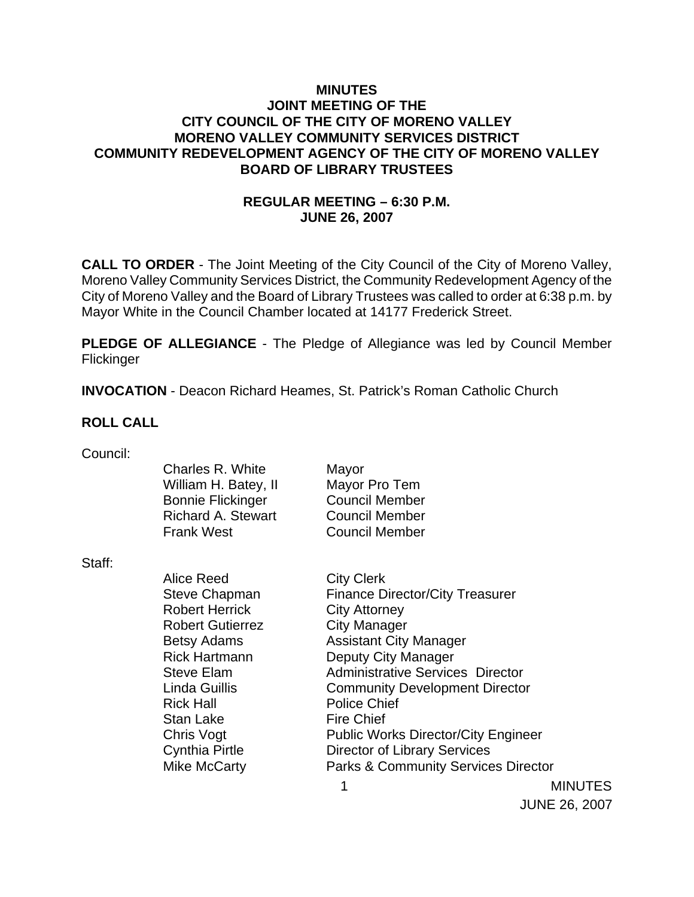## **MINUTES JOINT MEETING OF THE CITY COUNCIL OF THE CITY OF MORENO VALLEY MORENO VALLEY COMMUNITY SERVICES DISTRICT COMMUNITY REDEVELOPMENT AGENCY OF THE CITY OF MORENO VALLEY BOARD OF LIBRARY TRUSTEES**

# **REGULAR MEETING – 6:30 P.M. JUNE 26, 2007**

**CALL TO ORDER** - The Joint Meeting of the City Council of the City of Moreno Valley, Moreno Valley Community Services District, the Community Redevelopment Agency of the City of Moreno Valley and the Board of Library Trustees was called to order at 6:38 p.m. by Mayor White in the Council Chamber located at 14177 Frederick Street.

**PLEDGE OF ALLEGIANCE** - The Pledge of Allegiance was led by Council Member **Flickinger** 

**INVOCATION** - Deacon Richard Heames, St. Patrick's Roman Catholic Church

#### **ROLL CALL**

| Council: |  |
|----------|--|

|        | Charles R. White<br>William H. Batey, II<br><b>Bonnie Flickinger</b><br><b>Richard A. Stewart</b><br><b>Frank West</b> | Mayor<br>Mayor Pro Tem<br><b>Council Member</b><br><b>Council Member</b><br><b>Council Member</b> |                |
|--------|------------------------------------------------------------------------------------------------------------------------|---------------------------------------------------------------------------------------------------|----------------|
| Staff: |                                                                                                                        |                                                                                                   |                |
|        | Alice Reed                                                                                                             | <b>City Clerk</b>                                                                                 |                |
|        | <b>Steve Chapman</b>                                                                                                   | <b>Finance Director/City Treasurer</b>                                                            |                |
|        | <b>Robert Herrick</b>                                                                                                  | <b>City Attorney</b>                                                                              |                |
|        | <b>Robert Gutierrez</b>                                                                                                | <b>City Manager</b>                                                                               |                |
|        | Betsy Adams                                                                                                            | <b>Assistant City Manager</b>                                                                     |                |
|        | <b>Rick Hartmann</b>                                                                                                   | Deputy City Manager                                                                               |                |
|        | <b>Steve Elam</b>                                                                                                      | <b>Administrative Services Director</b>                                                           |                |
|        | Linda Guillis                                                                                                          | <b>Community Development Director</b>                                                             |                |
|        | <b>Rick Hall</b>                                                                                                       | <b>Police Chief</b>                                                                               |                |
|        | Stan Lake                                                                                                              | <b>Fire Chief</b>                                                                                 |                |
|        | Chris Vogt                                                                                                             | <b>Public Works Director/City Engineer</b>                                                        |                |
|        | Cynthia Pirtle                                                                                                         | <b>Director of Library Services</b>                                                               |                |
|        | Mike McCarty                                                                                                           | <b>Parks &amp; Community Services Director</b>                                                    |                |
|        |                                                                                                                        |                                                                                                   | <b>MINUTES</b> |

JUNE 26, 2007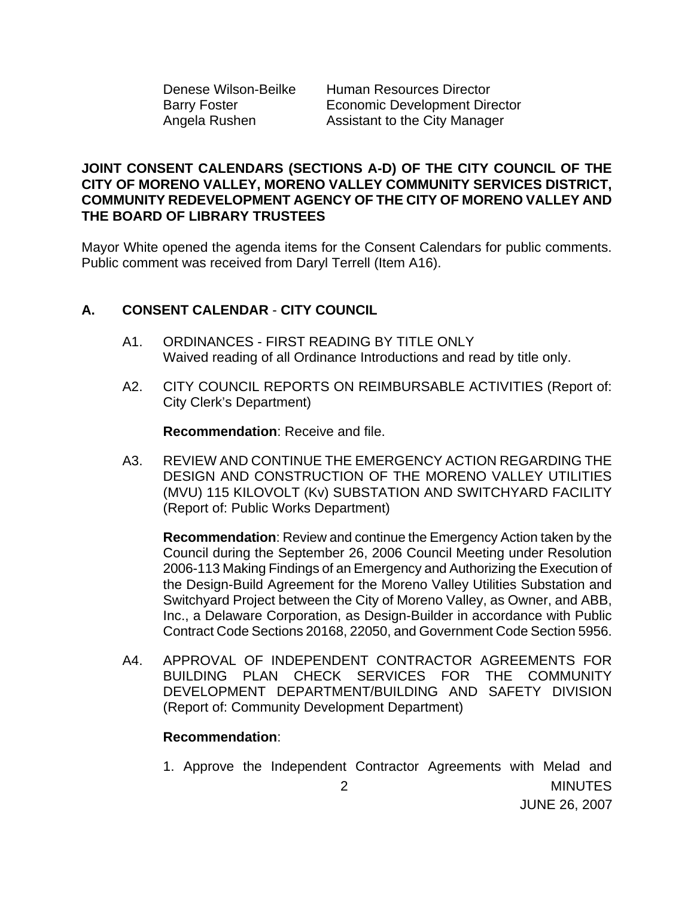Denese Wilson-Beilke Human Resources Director Barry Foster **Economic Development Director** Angela Rushen Assistant to the City Manager

## **JOINT CONSENT CALENDARS (SECTIONS A-D) OF THE CITY COUNCIL OF THE CITY OF MORENO VALLEY, MORENO VALLEY COMMUNITY SERVICES DISTRICT, COMMUNITY REDEVELOPMENT AGENCY OF THE CITY OF MORENO VALLEY AND THE BOARD OF LIBRARY TRUSTEES**

Mayor White opened the agenda items for the Consent Calendars for public comments. Public comment was received from Daryl Terrell (Item A16).

# **A. CONSENT CALENDAR** - **CITY COUNCIL**

- A1. ORDINANCES FIRST READING BY TITLE ONLY Waived reading of all Ordinance Introductions and read by title only.
- A2. CITY COUNCIL REPORTS ON REIMBURSABLE ACTIVITIES (Report of: City Clerk's Department)

**Recommendation**: Receive and file.

A3. REVIEW AND CONTINUE THE EMERGENCY ACTION REGARDING THE DESIGN AND CONSTRUCTION OF THE MORENO VALLEY UTILITIES (MVU) 115 KILOVOLT (Kv) SUBSTATION AND SWITCHYARD FACILITY (Report of: Public Works Department)

**Recommendation**: Review and continue the Emergency Action taken by the Council during the September 26, 2006 Council Meeting under Resolution 2006-113 Making Findings of an Emergency and Authorizing the Execution of the Design-Build Agreement for the Moreno Valley Utilities Substation and Switchyard Project between the City of Moreno Valley, as Owner, and ABB, Inc., a Delaware Corporation, as Design-Builder in accordance with Public Contract Code Sections 20168, 22050, and Government Code Section 5956.

A4. APPROVAL OF INDEPENDENT CONTRACTOR AGREEMENTS FOR BUILDING PLAN CHECK SERVICES FOR THE COMMUNITY DEVELOPMENT DEPARTMENT/BUILDING AND SAFETY DIVISION (Report of: Community Development Department)

## **Recommendation**:

 2 MINUTES JUNE 26, 2007 1. Approve the Independent Contractor Agreements with Melad and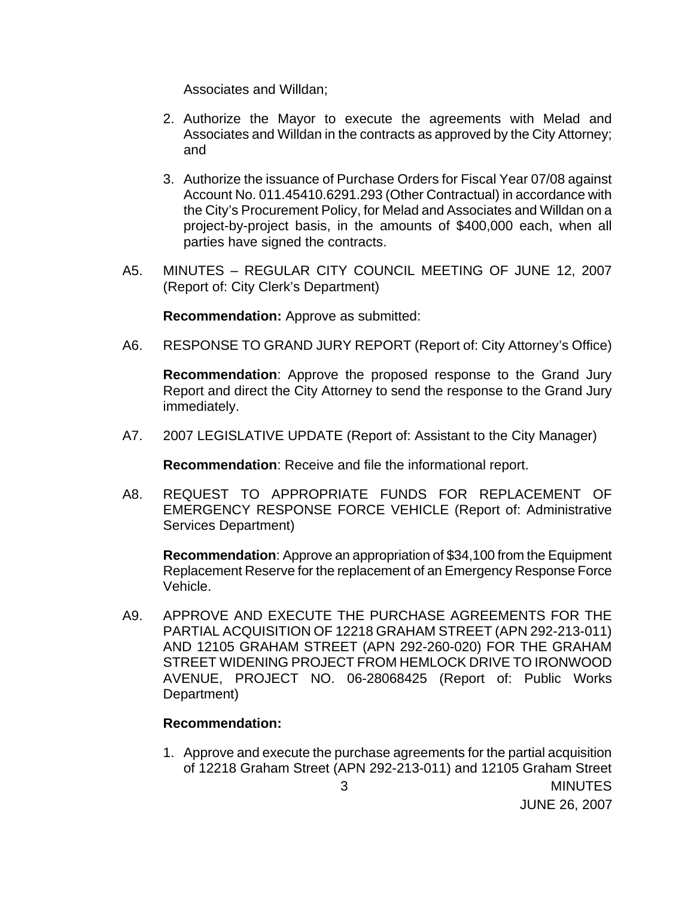Associates and Willdan;

- 2. Authorize the Mayor to execute the agreements with Melad and Associates and Willdan in the contracts as approved by the City Attorney; and
- 3. Authorize the issuance of Purchase Orders for Fiscal Year 07/08 against Account No. 011.45410.6291.293 (Other Contractual) in accordance with the City's Procurement Policy, for Melad and Associates and Willdan on a project-by-project basis, in the amounts of \$400,000 each, when all parties have signed the contracts.
- A5. MINUTES REGULAR CITY COUNCIL MEETING OF JUNE 12, 2007 (Report of: City Clerk's Department)

**Recommendation:** Approve as submitted:

A6. RESPONSE TO GRAND JURY REPORT (Report of: City Attorney's Office)

**Recommendation**: Approve the proposed response to the Grand Jury Report and direct the City Attorney to send the response to the Grand Jury immediately.

A7. 2007 LEGISLATIVE UPDATE (Report of: Assistant to the City Manager)

**Recommendation**: Receive and file the informational report.

A8. REQUEST TO APPROPRIATE FUNDS FOR REPLACEMENT OF EMERGENCY RESPONSE FORCE VEHICLE (Report of: Administrative Services Department)

**Recommendation**: Approve an appropriation of \$34,100 from the Equipment Replacement Reserve for the replacement of an Emergency Response Force Vehicle.

A9. APPROVE AND EXECUTE THE PURCHASE AGREEMENTS FOR THE PARTIAL ACQUISITION OF 12218 GRAHAM STREET (APN 292-213-011) AND 12105 GRAHAM STREET (APN 292-260-020) FOR THE GRAHAM STREET WIDENING PROJECT FROM HEMLOCK DRIVE TO IRONWOOD AVENUE, PROJECT NO. 06-28068425 (Report of: Public Works Department)

## **Recommendation:**

 3 MINUTES 1. Approve and execute the purchase agreements for the partial acquisition of 12218 Graham Street (APN 292-213-011) and 12105 Graham Street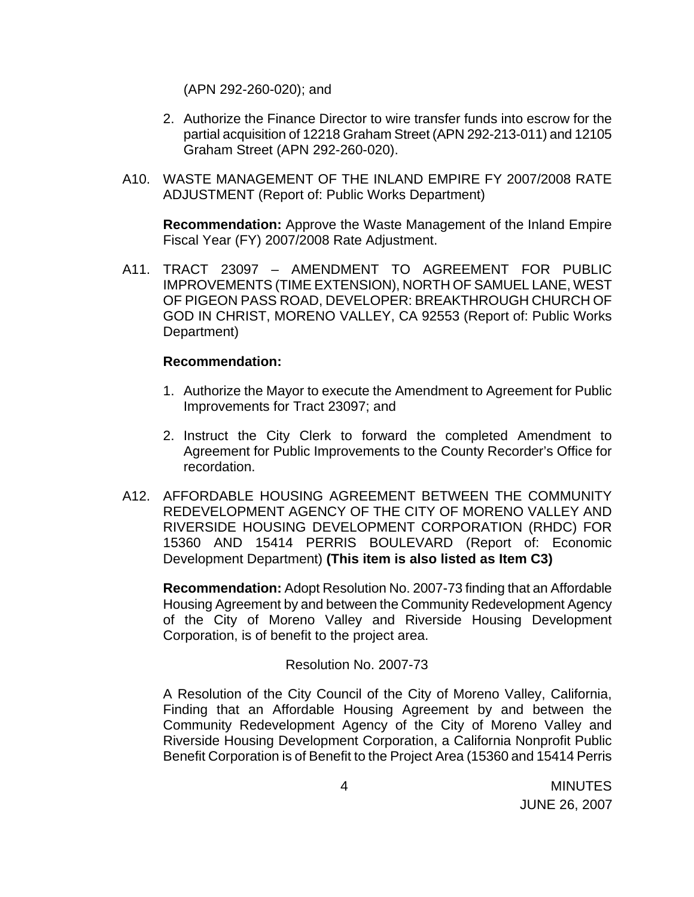(APN 292-260-020); and

- 2. Authorize the Finance Director to wire transfer funds into escrow for the partial acquisition of 12218 Graham Street (APN 292-213-011) and 12105 Graham Street (APN 292-260-020).
- A10. WASTE MANAGEMENT OF THE INLAND EMPIRE FY 2007/2008 RATE ADJUSTMENT (Report of: Public Works Department)

**Recommendation:** Approve the Waste Management of the Inland Empire Fiscal Year (FY) 2007/2008 Rate Adjustment.

A11. TRACT 23097 – AMENDMENT TO AGREEMENT FOR PUBLIC IMPROVEMENTS (TIME EXTENSION), NORTH OF SAMUEL LANE, WEST OF PIGEON PASS ROAD, DEVELOPER: BREAKTHROUGH CHURCH OF GOD IN CHRIST, MORENO VALLEY, CA 92553 (Report of: Public Works Department)

#### **Recommendation:**

- 1. Authorize the Mayor to execute the Amendment to Agreement for Public Improvements for Tract 23097; and
- 2. Instruct the City Clerk to forward the completed Amendment to Agreement for Public Improvements to the County Recorder's Office for recordation.
- A12. AFFORDABLE HOUSING AGREEMENT BETWEEN THE COMMUNITY REDEVELOPMENT AGENCY OF THE CITY OF MORENO VALLEY AND RIVERSIDE HOUSING DEVELOPMENT CORPORATION (RHDC) FOR 15360 AND 15414 PERRIS BOULEVARD (Report of: Economic Development Department) **(This item is also listed as Item C3)**

**Recommendation:** Adopt Resolution No. 2007-73 finding that an Affordable Housing Agreement by and between the Community Redevelopment Agency of the City of Moreno Valley and Riverside Housing Development Corporation, is of benefit to the project area.

## Resolution No. 2007-73

 A Resolution of the City Council of the City of Moreno Valley, California, Finding that an Affordable Housing Agreement by and between the Community Redevelopment Agency of the City of Moreno Valley and Riverside Housing Development Corporation, a California Nonprofit Public Benefit Corporation is of Benefit to the Project Area (15360 and 15414 Perris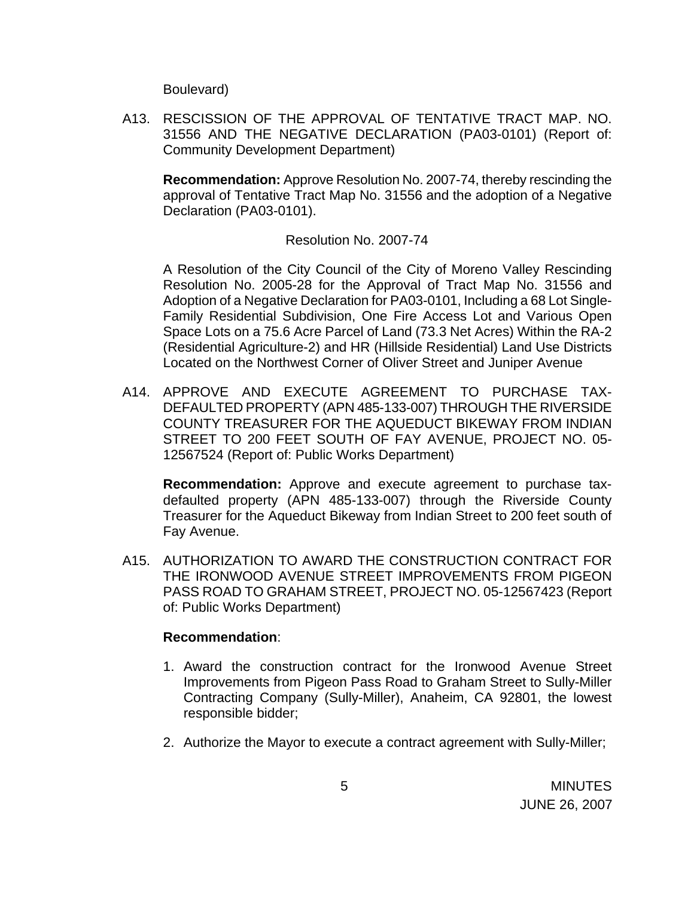Boulevard)

A13. RESCISSION OF THE APPROVAL OF TENTATIVE TRACT MAP. NO. 31556 AND THE NEGATIVE DECLARATION (PA03-0101) (Report of: Community Development Department)

**Recommendation:** Approve Resolution No. 2007-74, thereby rescinding the approval of Tentative Tract Map No. 31556 and the adoption of a Negative Declaration (PA03-0101).

## Resolution No. 2007-74

 A Resolution of the City Council of the City of Moreno Valley Rescinding Resolution No. 2005-28 for the Approval of Tract Map No. 31556 and Adoption of a Negative Declaration for PA03-0101, Including a 68 Lot Single-Family Residential Subdivision, One Fire Access Lot and Various Open Space Lots on a 75.6 Acre Parcel of Land (73.3 Net Acres) Within the RA-2 (Residential Agriculture-2) and HR (Hillside Residential) Land Use Districts Located on the Northwest Corner of Oliver Street and Juniper Avenue

A14. APPROVE AND EXECUTE AGREEMENT TO PURCHASE TAX-DEFAULTED PROPERTY (APN 485-133-007) THROUGH THE RIVERSIDE COUNTY TREASURER FOR THE AQUEDUCT BIKEWAY FROM INDIAN STREET TO 200 FEET SOUTH OF FAY AVENUE, PROJECT NO. 05- 12567524 (Report of: Public Works Department)

**Recommendation:** Approve and execute agreement to purchase taxdefaulted property (APN 485-133-007) through the Riverside County Treasurer for the Aqueduct Bikeway from Indian Street to 200 feet south of Fay Avenue.

A15. AUTHORIZATION TO AWARD THE CONSTRUCTION CONTRACT FOR THE IRONWOOD AVENUE STREET IMPROVEMENTS FROM PIGEON PASS ROAD TO GRAHAM STREET, PROJECT NO. 05-12567423 (Report of: Public Works Department)

#### **Recommendation**:

- 1. Award the construction contract for the Ironwood Avenue Street Improvements from Pigeon Pass Road to Graham Street to Sully-Miller Contracting Company (Sully-Miller), Anaheim, CA 92801, the lowest responsible bidder;
- 2. Authorize the Mayor to execute a contract agreement with Sully-Miller;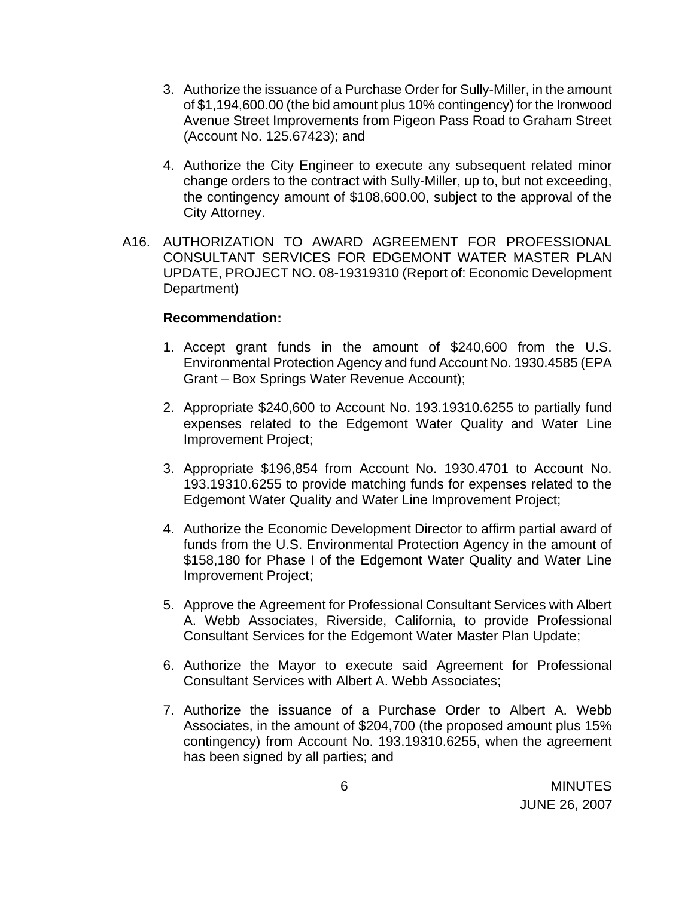- 3. Authorize the issuance of a Purchase Order for Sully-Miller, in the amount of \$1,194,600.00 (the bid amount plus 10% contingency) for the Ironwood Avenue Street Improvements from Pigeon Pass Road to Graham Street (Account No. 125.67423); and
- 4. Authorize the City Engineer to execute any subsequent related minor change orders to the contract with Sully-Miller, up to, but not exceeding, the contingency amount of \$108,600.00, subject to the approval of the City Attorney.
- A16. AUTHORIZATION TO AWARD AGREEMENT FOR PROFESSIONAL CONSULTANT SERVICES FOR EDGEMONT WATER MASTER PLAN UPDATE, PROJECT NO. 08-19319310 (Report of: Economic Development Department)

#### **Recommendation:**

- 1. Accept grant funds in the amount of \$240,600 from the U.S. Environmental Protection Agency and fund Account No. 1930.4585 (EPA Grant – Box Springs Water Revenue Account);
- 2. Appropriate \$240,600 to Account No. 193.19310.6255 to partially fund expenses related to the Edgemont Water Quality and Water Line Improvement Project;
- 3. Appropriate \$196,854 from Account No. 1930.4701 to Account No. 193.19310.6255 to provide matching funds for expenses related to the Edgemont Water Quality and Water Line Improvement Project;
- 4. Authorize the Economic Development Director to affirm partial award of funds from the U.S. Environmental Protection Agency in the amount of \$158,180 for Phase I of the Edgemont Water Quality and Water Line Improvement Project;
- 5. Approve the Agreement for Professional Consultant Services with Albert A. Webb Associates, Riverside, California, to provide Professional Consultant Services for the Edgemont Water Master Plan Update;
- 6. Authorize the Mayor to execute said Agreement for Professional Consultant Services with Albert A. Webb Associates;
- 7. Authorize the issuance of a Purchase Order to Albert A. Webb Associates, in the amount of \$204,700 (the proposed amount plus 15% contingency) from Account No. 193.19310.6255, when the agreement has been signed by all parties; and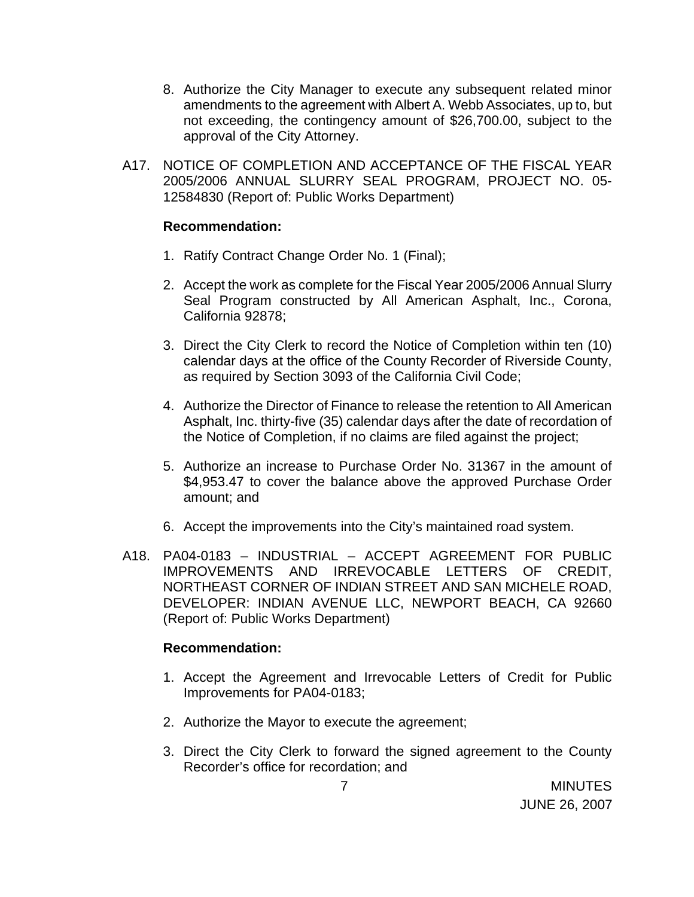- 8. Authorize the City Manager to execute any subsequent related minor amendments to the agreement with Albert A. Webb Associates, up to, but not exceeding, the contingency amount of \$26,700.00, subject to the approval of the City Attorney.
- A17. NOTICE OF COMPLETION AND ACCEPTANCE OF THE FISCAL YEAR 2005/2006 ANNUAL SLURRY SEAL PROGRAM, PROJECT NO. 05- 12584830 (Report of: Public Works Department)

#### **Recommendation:**

- 1. Ratify Contract Change Order No. 1 (Final);
- 2. Accept the work as complete for the Fiscal Year 2005/2006 Annual Slurry Seal Program constructed by All American Asphalt, Inc., Corona, California 92878;
- 3. Direct the City Clerk to record the Notice of Completion within ten (10) calendar days at the office of the County Recorder of Riverside County, as required by Section 3093 of the California Civil Code;
- 4. Authorize the Director of Finance to release the retention to All American Asphalt, Inc. thirty-five (35) calendar days after the date of recordation of the Notice of Completion, if no claims are filed against the project;
- 5. Authorize an increase to Purchase Order No. 31367 in the amount of \$4,953.47 to cover the balance above the approved Purchase Order amount; and
- 6. Accept the improvements into the City's maintained road system.
- A18. PA04-0183 INDUSTRIAL ACCEPT AGREEMENT FOR PUBLIC IMPROVEMENTS AND IRREVOCABLE LETTERS OF CREDIT, NORTHEAST CORNER OF INDIAN STREET AND SAN MICHELE ROAD, DEVELOPER: INDIAN AVENUE LLC, NEWPORT BEACH, CA 92660 (Report of: Public Works Department)

#### **Recommendation:**

- 1. Accept the Agreement and Irrevocable Letters of Credit for Public Improvements for PA04-0183;
- 2. Authorize the Mayor to execute the agreement;
- 3. Direct the City Clerk to forward the signed agreement to the County Recorder's office for recordation; and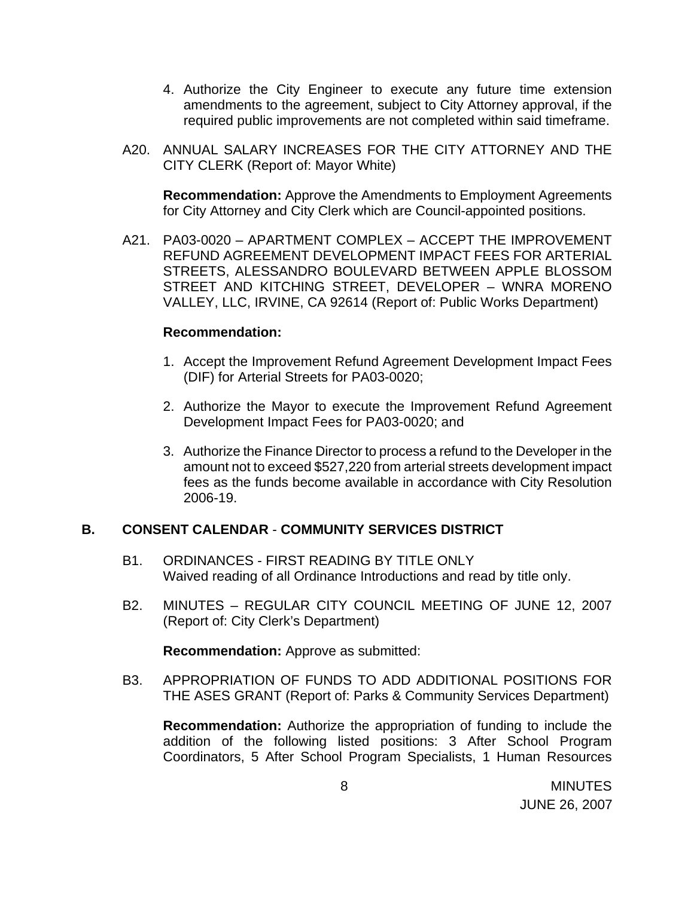- 4. Authorize the City Engineer to execute any future time extension amendments to the agreement, subject to City Attorney approval, if the required public improvements are not completed within said timeframe.
- A20. ANNUAL SALARY INCREASES FOR THE CITY ATTORNEY AND THE CITY CLERK (Report of: Mayor White)

**Recommendation:** Approve the Amendments to Employment Agreements for City Attorney and City Clerk which are Council-appointed positions.

A21. PA03-0020 – APARTMENT COMPLEX – ACCEPT THE IMPROVEMENT REFUND AGREEMENT DEVELOPMENT IMPACT FEES FOR ARTERIAL STREETS, ALESSANDRO BOULEVARD BETWEEN APPLE BLOSSOM STREET AND KITCHING STREET, DEVELOPER – WNRA MORENO VALLEY, LLC, IRVINE, CA 92614 (Report of: Public Works Department)

#### **Recommendation:**

- 1. Accept the Improvement Refund Agreement Development Impact Fees (DIF) for Arterial Streets for PA03-0020;
- 2. Authorize the Mayor to execute the Improvement Refund Agreement Development Impact Fees for PA03-0020; and
- 3. Authorize the Finance Director to process a refund to the Developer in the amount not to exceed \$527,220 from arterial streets development impact fees as the funds become available in accordance with City Resolution 2006-19.

## **B. CONSENT CALENDAR** - **COMMUNITY SERVICES DISTRICT**

- B1. ORDINANCES FIRST READING BY TITLE ONLY Waived reading of all Ordinance Introductions and read by title only.
- B2. MINUTES REGULAR CITY COUNCIL MEETING OF JUNE 12, 2007 (Report of: City Clerk's Department)

**Recommendation:** Approve as submitted:

B3. APPROPRIATION OF FUNDS TO ADD ADDITIONAL POSITIONS FOR THE ASES GRANT (Report of: Parks & Community Services Department)

**Recommendation:** Authorize the appropriation of funding to include the addition of the following listed positions: 3 After School Program Coordinators, 5 After School Program Specialists, 1 Human Resources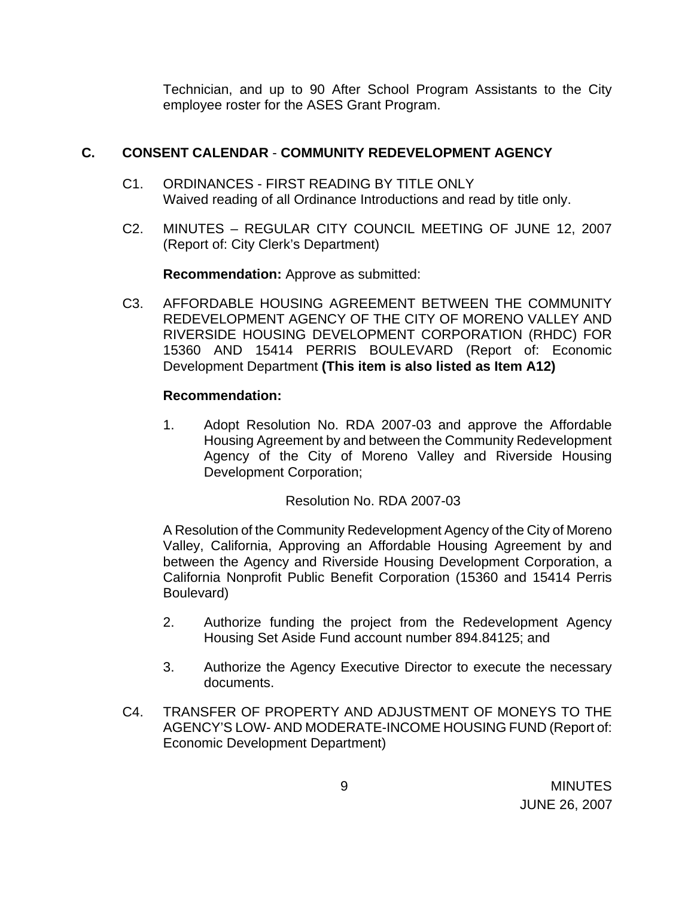Technician, and up to 90 After School Program Assistants to the City employee roster for the ASES Grant Program.

# **C. CONSENT CALENDAR** - **COMMUNITY REDEVELOPMENT AGENCY**

- C1. ORDINANCES FIRST READING BY TITLE ONLY Waived reading of all Ordinance Introductions and read by title only.
- C2. MINUTES REGULAR CITY COUNCIL MEETING OF JUNE 12, 2007 (Report of: City Clerk's Department)

**Recommendation:** Approve as submitted:

C3. AFFORDABLE HOUSING AGREEMENT BETWEEN THE COMMUNITY REDEVELOPMENT AGENCY OF THE CITY OF MORENO VALLEY AND RIVERSIDE HOUSING DEVELOPMENT CORPORATION (RHDC) FOR 15360 AND 15414 PERRIS BOULEVARD (Report of: Economic Development Department **(This item is also listed as Item A12)**

# **Recommendation:**

1. Adopt Resolution No. RDA 2007-03 and approve the Affordable Housing Agreement by and between the Community Redevelopment Agency of the City of Moreno Valley and Riverside Housing Development Corporation;

Resolution No. RDA 2007-03

 A Resolution of the Community Redevelopment Agency of the City of Moreno Valley, California, Approving an Affordable Housing Agreement by and between the Agency and Riverside Housing Development Corporation, a California Nonprofit Public Benefit Corporation (15360 and 15414 Perris Boulevard)

- 2. Authorize funding the project from the Redevelopment Agency Housing Set Aside Fund account number 894.84125; and
- 3. Authorize the Agency Executive Director to execute the necessary documents.
- C4. TRANSFER OF PROPERTY AND ADJUSTMENT OF MONEYS TO THE AGENCY'S LOW- AND MODERATE-INCOME HOUSING FUND (Report of: Economic Development Department)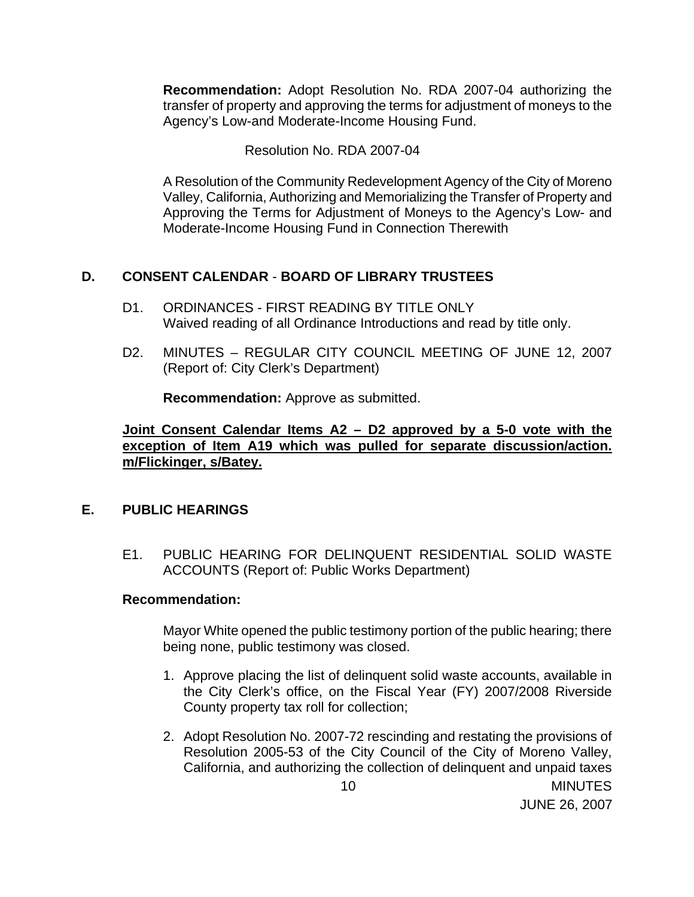**Recommendation:** Adopt Resolution No. RDA 2007-04 authorizing the transfer of property and approving the terms for adjustment of moneys to the Agency's Low-and Moderate-Income Housing Fund.

Resolution No. RDA 2007-04

 A Resolution of the Community Redevelopment Agency of the City of Moreno Valley, California, Authorizing and Memorializing the Transfer of Property and Approving the Terms for Adjustment of Moneys to the Agency's Low- and Moderate-Income Housing Fund in Connection Therewith

# **D. CONSENT CALENDAR** - **BOARD OF LIBRARY TRUSTEES**

- D1. ORDINANCES FIRST READING BY TITLE ONLY Waived reading of all Ordinance Introductions and read by title only.
- D2. MINUTES REGULAR CITY COUNCIL MEETING OF JUNE 12, 2007 (Report of: City Clerk's Department)

**Recommendation:** Approve as submitted.

**Joint Consent Calendar Items A2 – D2 approved by a 5-0 vote with the exception of Item A19 which was pulled for separate discussion/action. m/Flickinger, s/Batey.**

## **E. PUBLIC HEARINGS**

E1. PUBLIC HEARING FOR DELINQUENT RESIDENTIAL SOLID WASTE ACCOUNTS (Report of: Public Works Department)

## **Recommendation:**

Mayor White opened the public testimony portion of the public hearing; there being none, public testimony was closed.

- 1. Approve placing the list of delinquent solid waste accounts, available in the City Clerk's office, on the Fiscal Year (FY) 2007/2008 Riverside County property tax roll for collection;
- 2. Adopt Resolution No. 2007-72 rescinding and restating the provisions of Resolution 2005-53 of the City Council of the City of Moreno Valley, California, and authorizing the collection of delinquent and unpaid taxes

JUNE 26, 2007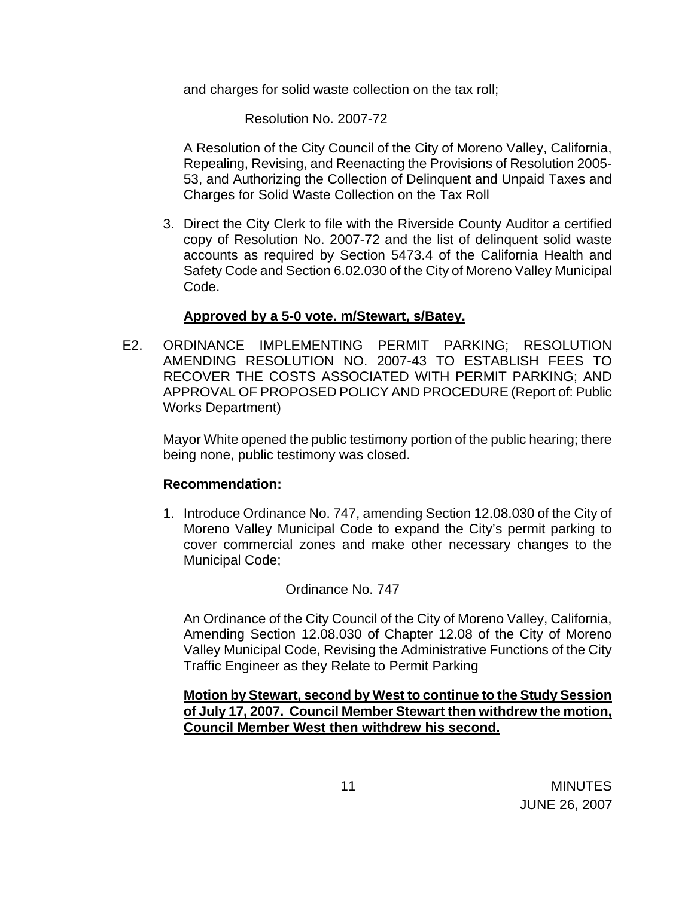and charges for solid waste collection on the tax roll;

Resolution No. 2007-72

 A Resolution of the City Council of the City of Moreno Valley, California, Repealing, Revising, and Reenacting the Provisions of Resolution 2005- 53, and Authorizing the Collection of Delinquent and Unpaid Taxes and Charges for Solid Waste Collection on the Tax Roll

3. Direct the City Clerk to file with the Riverside County Auditor a certified copy of Resolution No. 2007-72 and the list of delinquent solid waste accounts as required by Section 5473.4 of the California Health and Safety Code and Section 6.02.030 of the City of Moreno Valley Municipal Code.

## **Approved by a 5-0 vote. m/Stewart, s/Batey.**

 E2. ORDINANCE IMPLEMENTING PERMIT PARKING; RESOLUTION AMENDING RESOLUTION NO. 2007-43 TO ESTABLISH FEES TO RECOVER THE COSTS ASSOCIATED WITH PERMIT PARKING; AND APPROVAL OF PROPOSED POLICY AND PROCEDURE (Report of: Public Works Department)

Mayor White opened the public testimony portion of the public hearing; there being none, public testimony was closed.

#### **Recommendation:**

1. Introduce Ordinance No. 747, amending Section 12.08.030 of the City of Moreno Valley Municipal Code to expand the City's permit parking to cover commercial zones and make other necessary changes to the Municipal Code;

#### Ordinance No. 747

 An Ordinance of the City Council of the City of Moreno Valley, California, Amending Section 12.08.030 of Chapter 12.08 of the City of Moreno Valley Municipal Code, Revising the Administrative Functions of the City Traffic Engineer as they Relate to Permit Parking

 **Motion by Stewart, second by West to continue to the Study Session of July 17, 2007. Council Member Stewart then withdrew the motion, Council Member West then withdrew his second.**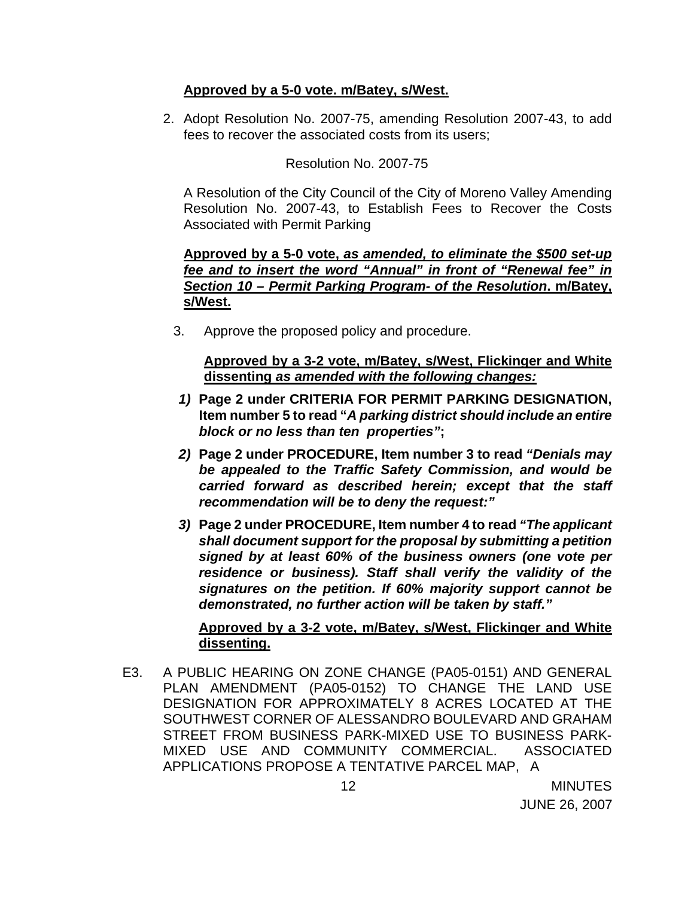# **Approved by a 5-0 vote. m/Batey, s/West.**

 2. Adopt Resolution No. 2007-75, amending Resolution 2007-43, to add fees to recover the associated costs from its users;

# Resolution No. 2007-75

 A Resolution of the City Council of the City of Moreno Valley Amending Resolution No. 2007-43, to Establish Fees to Recover the Costs Associated with Permit Parking

# **Approved by a 5-0 vote,** *as amended, to eliminate the \$500 set-up fee and to insert the word "Annual" in front of "Renewal fee" in Section 10 – Permit Parking Program- of the Resolution***. m/Batey, s/West.**

3. Approve the proposed policy and procedure.

 **Approved by a 3-2 vote, m/Batey, s/West, Flickinger and White dissenting** *as amended with the following changes:*

- *1)* **Page 2 under CRITERIA FOR PERMIT PARKING DESIGNATION, Item number 5 to read "***A parking district should include an entire block or no less than ten properties"***;**
- *2)* **Page 2 under PROCEDURE, Item number 3 to read** *"Denials may be appealed to the Traffic Safety Commission, and would be carried forward as described herein; except that the staff recommendation will be to deny the request:"*
- *3)* **Page 2 under PROCEDURE, Item number 4 to read** *"The applicant shall document support for the proposal by submitting a petition signed by at least 60% of the business owners (one vote per residence or business). Staff shall verify the validity of the signatures on the petition. If 60% majority support cannot be demonstrated, no further action will be taken by staff."*

# **Approved by a 3-2 vote, m/Batey, s/West, Flickinger and White dissenting.**

 E3. A PUBLIC HEARING ON ZONE CHANGE (PA05-0151) AND GENERAL PLAN AMENDMENT (PA05-0152) TO CHANGE THE LAND USE DESIGNATION FOR APPROXIMATELY 8 ACRES LOCATED AT THE SOUTHWEST CORNER OF ALESSANDRO BOULEVARD AND GRAHAM STREET FROM BUSINESS PARK-MIXED USE TO BUSINESS PARK-MIXED USE AND COMMUNITY COMMERCIAL. ASSOCIATED APPLICATIONS PROPOSE A TENTATIVE PARCEL MAP, A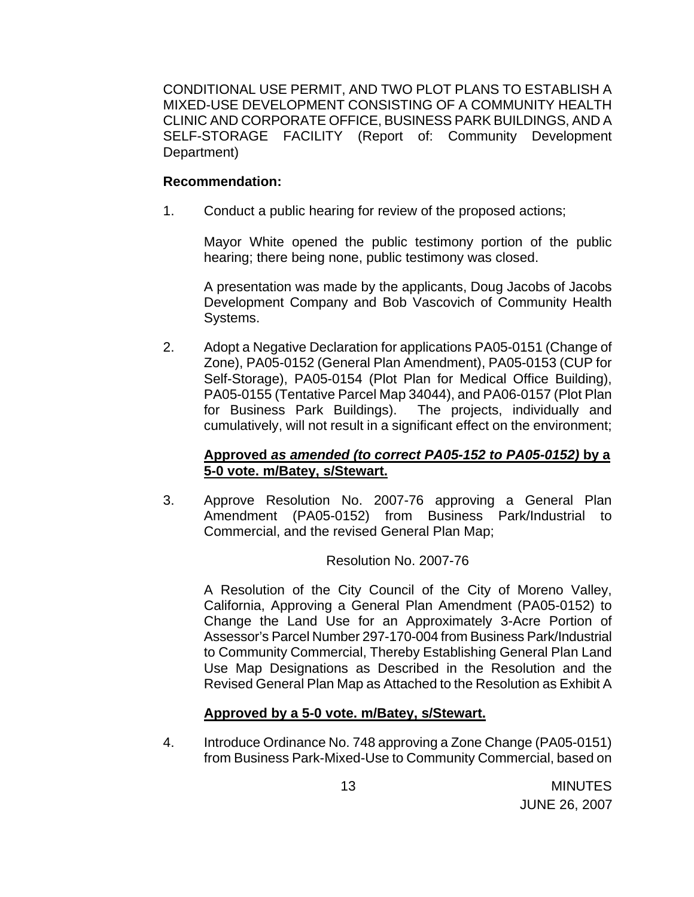CONDITIONAL USE PERMIT, AND TWO PLOT PLANS TO ESTABLISH A MIXED-USE DEVELOPMENT CONSISTING OF A COMMUNITY HEALTH CLINIC AND CORPORATE OFFICE, BUSINESS PARK BUILDINGS, AND A SELF-STORAGE FACILITY (Report of: Community Development Department)

## **Recommendation:**

1. Conduct a public hearing for review of the proposed actions;

Mayor White opened the public testimony portion of the public hearing; there being none, public testimony was closed.

A presentation was made by the applicants, Doug Jacobs of Jacobs Development Company and Bob Vascovich of Community Health Systems.

2. Adopt a Negative Declaration for applications PA05-0151 (Change of Zone), PA05-0152 (General Plan Amendment), PA05-0153 (CUP for Self-Storage), PA05-0154 (Plot Plan for Medical Office Building), PA05-0155 (Tentative Parcel Map 34044), and PA06-0157 (Plot Plan for Business Park Buildings). The projects, individually and cumulatively, will not result in a significant effect on the environment;

# **Approved** *as amended (to correct PA05-152 to PA05-0152)* **by a 5-0 vote. m/Batey, s/Stewart.**

3. Approve Resolution No. 2007-76 approving a General Plan Amendment (PA05-0152) from Business Park/Industrial to Commercial, and the revised General Plan Map;

## Resolution No. 2007-76

 A Resolution of the City Council of the City of Moreno Valley, California, Approving a General Plan Amendment (PA05-0152) to Change the Land Use for an Approximately 3-Acre Portion of Assessor's Parcel Number 297-170-004 from Business Park/Industrial to Community Commercial, Thereby Establishing General Plan Land Use Map Designations as Described in the Resolution and the Revised General Plan Map as Attached to the Resolution as Exhibit A

# **Approved by a 5-0 vote. m/Batey, s/Stewart.**

4. Introduce Ordinance No. 748 approving a Zone Change (PA05-0151) from Business Park-Mixed-Use to Community Commercial, based on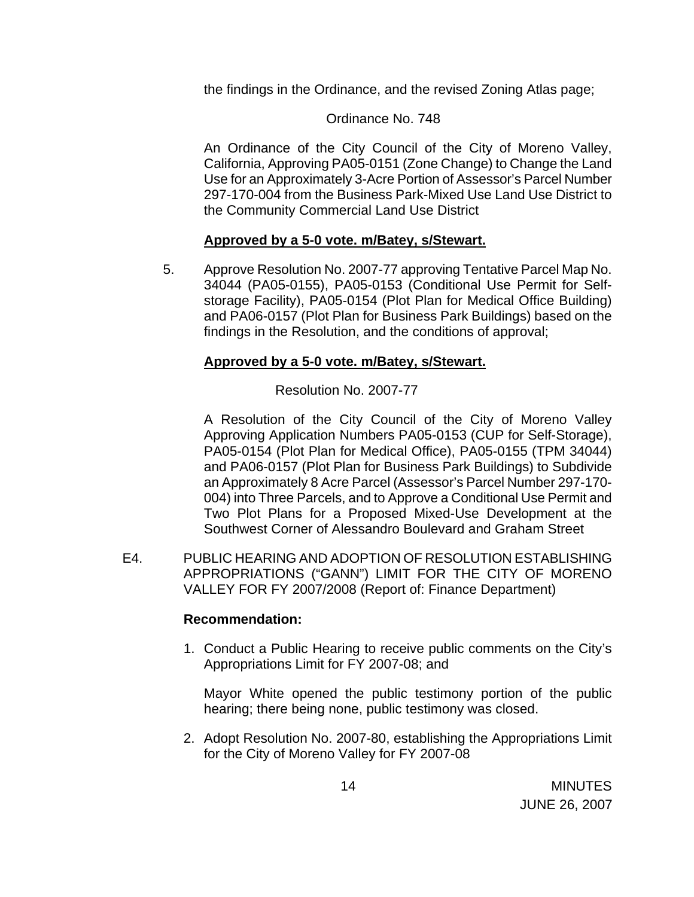the findings in the Ordinance, and the revised Zoning Atlas page;

## Ordinance No. 748

 An Ordinance of the City Council of the City of Moreno Valley, California, Approving PA05-0151 (Zone Change) to Change the Land Use for an Approximately 3-Acre Portion of Assessor's Parcel Number 297-170-004 from the Business Park-Mixed Use Land Use District to the Community Commercial Land Use District

## **Approved by a 5-0 vote. m/Batey, s/Stewart.**

5. Approve Resolution No. 2007-77 approving Tentative Parcel Map No. 34044 (PA05-0155), PA05-0153 (Conditional Use Permit for Selfstorage Facility), PA05-0154 (Plot Plan for Medical Office Building) and PA06-0157 (Plot Plan for Business Park Buildings) based on the findings in the Resolution, and the conditions of approval;

## **Approved by a 5-0 vote. m/Batey, s/Stewart.**

# Resolution No. 2007-77

 A Resolution of the City Council of the City of Moreno Valley Approving Application Numbers PA05-0153 (CUP for Self-Storage), PA05-0154 (Plot Plan for Medical Office), PA05-0155 (TPM 34044) and PA06-0157 (Plot Plan for Business Park Buildings) to Subdivide an Approximately 8 Acre Parcel (Assessor's Parcel Number 297-170- 004) into Three Parcels, and to Approve a Conditional Use Permit and Two Plot Plans for a Proposed Mixed-Use Development at the Southwest Corner of Alessandro Boulevard and Graham Street

 E4. PUBLIC HEARING AND ADOPTION OF RESOLUTION ESTABLISHING APPROPRIATIONS ("GANN") LIMIT FOR THE CITY OF MORENO VALLEY FOR FY 2007/2008 (Report of: Finance Department)

## **Recommendation:**

1. Conduct a Public Hearing to receive public comments on the City's Appropriations Limit for FY 2007-08; and

Mayor White opened the public testimony portion of the public hearing; there being none, public testimony was closed.

2. Adopt Resolution No. 2007-80, establishing the Appropriations Limit for the City of Moreno Valley for FY 2007-08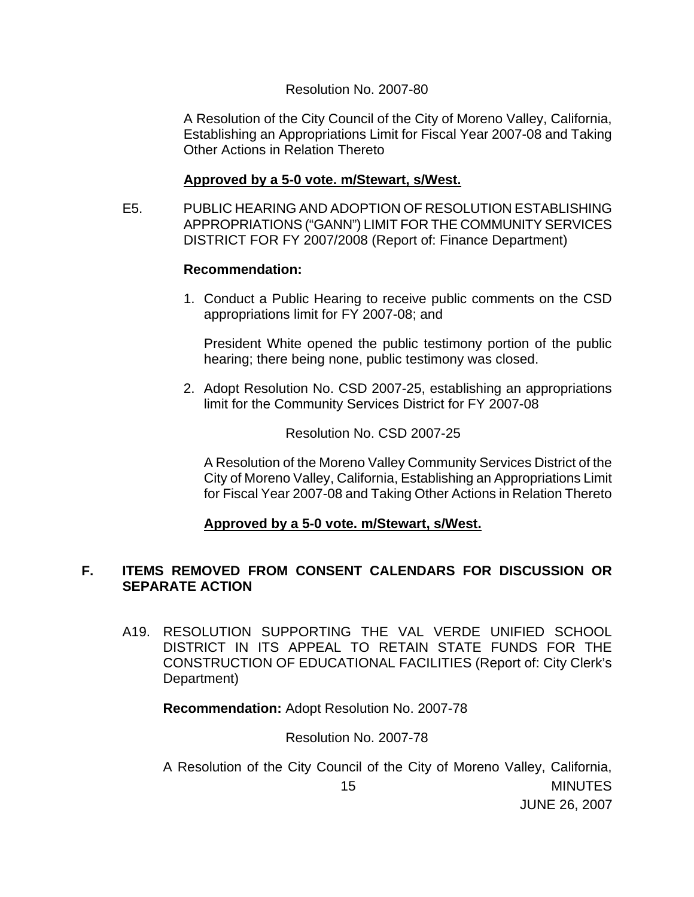#### Resolution No. 2007-80

 A Resolution of the City Council of the City of Moreno Valley, California, Establishing an Appropriations Limit for Fiscal Year 2007-08 and Taking Other Actions in Relation Thereto

## **Approved by a 5-0 vote. m/Stewart, s/West.**

 E5. PUBLIC HEARING AND ADOPTION OF RESOLUTION ESTABLISHING APPROPRIATIONS ("GANN") LIMIT FOR THE COMMUNITY SERVICES DISTRICT FOR FY 2007/2008 (Report of: Finance Department)

#### **Recommendation:**

 1. Conduct a Public Hearing to receive public comments on the CSD appropriations limit for FY 2007-08; and

President White opened the public testimony portion of the public hearing; there being none, public testimony was closed.

 2. Adopt Resolution No. CSD 2007-25, establishing an appropriations limit for the Community Services District for FY 2007-08

#### Resolution No. CSD 2007-25

 A Resolution of the Moreno Valley Community Services District of the City of Moreno Valley, California, Establishing an Appropriations Limit for Fiscal Year 2007-08 and Taking Other Actions in Relation Thereto

## **Approved by a 5-0 vote. m/Stewart, s/West.**

# **F. ITEMS REMOVED FROM CONSENT CALENDARS FOR DISCUSSION OR SEPARATE ACTION**

A19. RESOLUTION SUPPORTING THE VAL VERDE UNIFIED SCHOOL DISTRICT IN ITS APPEAL TO RETAIN STATE FUNDS FOR THE CONSTRUCTION OF EDUCATIONAL FACILITIES (Report of: City Clerk's Department)

**Recommendation:** Adopt Resolution No. 2007-78

#### Resolution No. 2007-78

 15 MINUTES JUNE 26, 2007 A Resolution of the City Council of the City of Moreno Valley, California,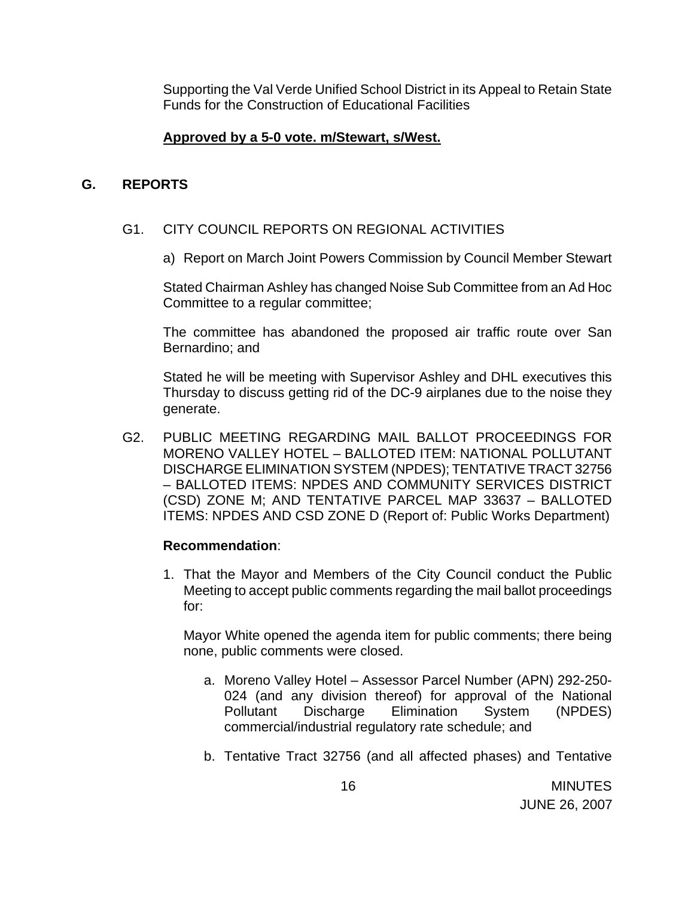Supporting the Val Verde Unified School District in its Appeal to Retain State Funds for the Construction of Educational Facilities

## **Approved by a 5-0 vote. m/Stewart, s/West.**

#### **G. REPORTS**

#### G1. CITY COUNCIL REPORTS ON REGIONAL ACTIVITIES

a) Report on March Joint Powers Commission by Council Member Stewart

 Stated Chairman Ashley has changed Noise Sub Committee from an Ad Hoc Committee to a regular committee;

 The committee has abandoned the proposed air traffic route over San Bernardino; and

 Stated he will be meeting with Supervisor Ashley and DHL executives this Thursday to discuss getting rid of the DC-9 airplanes due to the noise they generate.

G2. PUBLIC MEETING REGARDING MAIL BALLOT PROCEEDINGS FOR MORENO VALLEY HOTEL – BALLOTED ITEM: NATIONAL POLLUTANT DISCHARGE ELIMINATION SYSTEM (NPDES); TENTATIVE TRACT 32756 – BALLOTED ITEMS: NPDES AND COMMUNITY SERVICES DISTRICT (CSD) ZONE M; AND TENTATIVE PARCEL MAP 33637 – BALLOTED ITEMS: NPDES AND CSD ZONE D (Report of: Public Works Department)

#### **Recommendation**:

1. That the Mayor and Members of the City Council conduct the Public Meeting to accept public comments regarding the mail ballot proceedings for:

Mayor White opened the agenda item for public comments; there being none, public comments were closed.

- a. Moreno Valley Hotel Assessor Parcel Number (APN) 292-250- 024 (and any division thereof) for approval of the National Pollutant Discharge Elimination System (NPDES) commercial/industrial regulatory rate schedule; and
- b. Tentative Tract 32756 (and all affected phases) and Tentative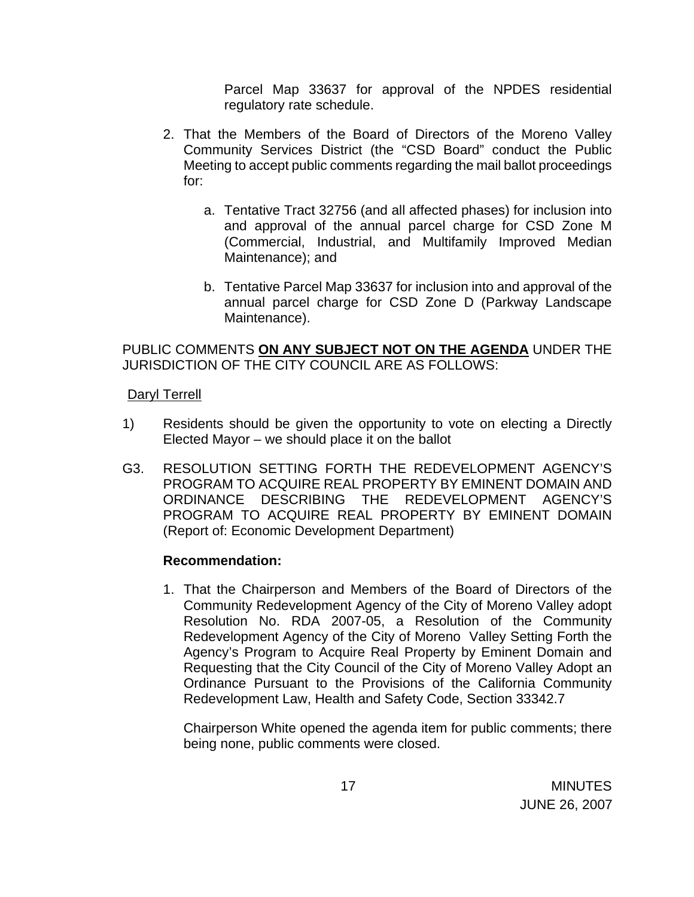Parcel Map 33637 for approval of the NPDES residential regulatory rate schedule.

- 2. That the Members of the Board of Directors of the Moreno Valley Community Services District (the "CSD Board" conduct the Public Meeting to accept public comments regarding the mail ballot proceedings for:
	- a. Tentative Tract 32756 (and all affected phases) for inclusion into and approval of the annual parcel charge for CSD Zone M (Commercial, Industrial, and Multifamily Improved Median Maintenance); and
	- b. Tentative Parcel Map 33637 for inclusion into and approval of the annual parcel charge for CSD Zone D (Parkway Landscape Maintenance).

PUBLIC COMMENTS **ON ANY SUBJECT NOT ON THE AGENDA** UNDER THE JURISDICTION OF THE CITY COUNCIL ARE AS FOLLOWS:

## Daryl Terrell

- 1) Residents should be given the opportunity to vote on electing a Directly Elected Mayor – we should place it on the ballot
- G3. RESOLUTION SETTING FORTH THE REDEVELOPMENT AGENCY'S PROGRAM TO ACQUIRE REAL PROPERTY BY EMINENT DOMAIN AND ORDINANCE DESCRIBING THE REDEVELOPMENT AGENCY'S PROGRAM TO ACQUIRE REAL PROPERTY BY EMINENT DOMAIN (Report of: Economic Development Department)

## **Recommendation:**

1. That the Chairperson and Members of the Board of Directors of the Community Redevelopment Agency of the City of Moreno Valley adopt Resolution No. RDA 2007-05, a Resolution of the Community Redevelopment Agency of the City of Moreno Valley Setting Forth the Agency's Program to Acquire Real Property by Eminent Domain and Requesting that the City Council of the City of Moreno Valley Adopt an Ordinance Pursuant to the Provisions of the California Community Redevelopment Law, Health and Safety Code, Section 33342.7

 Chairperson White opened the agenda item for public comments; there being none, public comments were closed.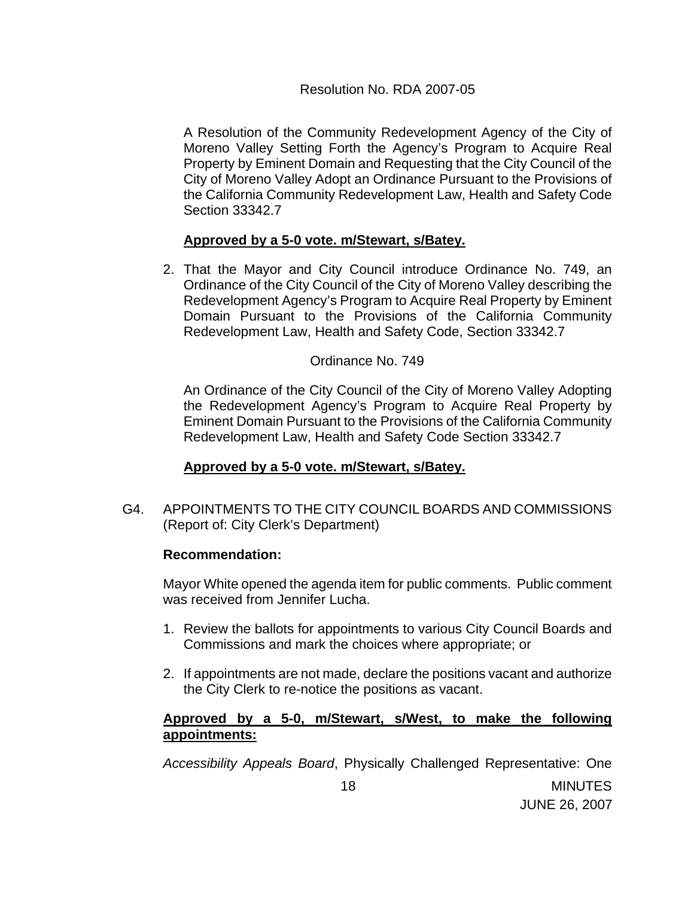A Resolution of the Community Redevelopment Agency of the City of Moreno Valley Setting Forth the Agency's Program to Acquire Real Property by Eminent Domain and Requesting that the City Council of the City of Moreno Valley Adopt an Ordinance Pursuant to the Provisions of the California Community Redevelopment Law, Health and Safety Code Section 33342.7

# **Approved by a 5-0 vote. m/Stewart, s/Batey.**

2. That the Mayor and City Council introduce Ordinance No. 749, an Ordinance of the City Council of the City of Moreno Valley describing the Redevelopment Agency's Program to Acquire Real Property by Eminent Domain Pursuant to the Provisions of the California Community Redevelopment Law, Health and Safety Code, Section 33342.7

#### Ordinance No. 749

An Ordinance of the City Council of the City of Moreno Valley Adopting the Redevelopment Agency's Program to Acquire Real Property by Eminent Domain Pursuant to the Provisions of the California Community Redevelopment Law, Health and Safety Code Section 33342.7

## **Approved by a 5-0 vote. m/Stewart, s/Batey.**

G4. APPOINTMENTS TO THE CITY COUNCIL BOARDS AND COMMISSIONS (Report of: City Clerk's Department)

## **Recommendation:**

Mayor White opened the agenda item for public comments. Public comment was received from Jennifer Lucha.

- 1. Review the ballots for appointments to various City Council Boards and Commissions and mark the choices where appropriate; or
- 2. If appointments are not made, declare the positions vacant and authorize the City Clerk to re-notice the positions as vacant.

## **Approved by a 5-0, m/Stewart, s/West, to make the following appointments:**

*Accessibility Appeals Board*, Physically Challenged Representative: One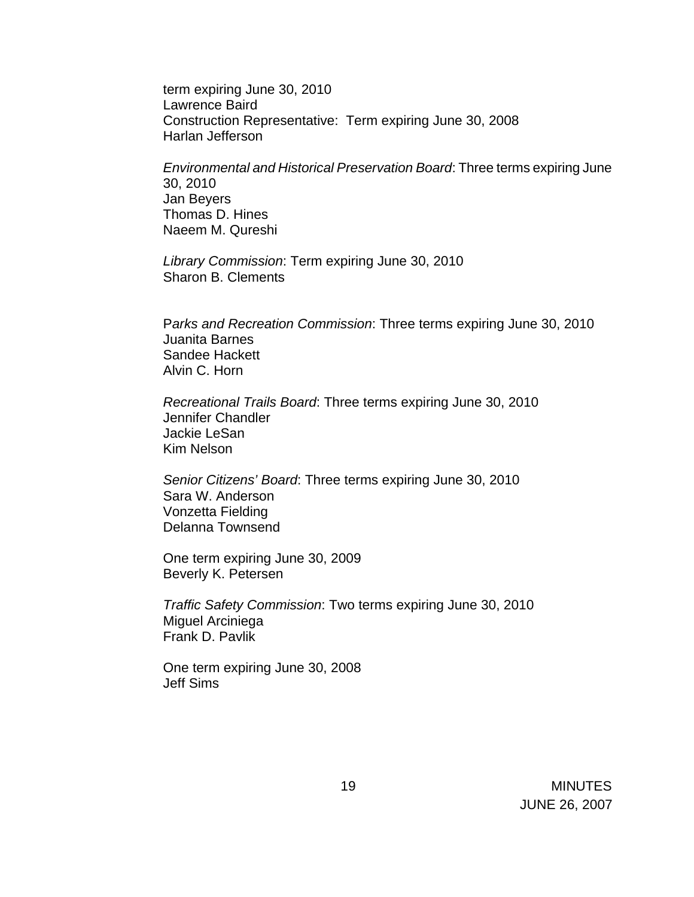term expiring June 30, 2010 Lawrence Baird Construction Representative: Term expiring June 30, 2008 Harlan Jefferson

*Environmental and Historical Preservation Board*: Three terms expiring June 30, 2010 Jan Beyers Thomas D. Hines Naeem M. Qureshi

*Library Commission*: Term expiring June 30, 2010 Sharon B. Clements

P*arks and Recreation Commission*: Three terms expiring June 30, 2010 Juanita Barnes Sandee Hackett Alvin C. Horn

*Recreational Trails Board*: Three terms expiring June 30, 2010 Jennifer Chandler Jackie LeSan Kim Nelson

*Senior Citizens' Board*: Three terms expiring June 30, 2010 Sara W. Anderson Vonzetta Fielding Delanna Townsend

One term expiring June 30, 2009 Beverly K. Petersen

*Traffic Safety Commission*: Two terms expiring June 30, 2010 Miguel Arciniega Frank D. Pavlik

One term expiring June 30, 2008 Jeff Sims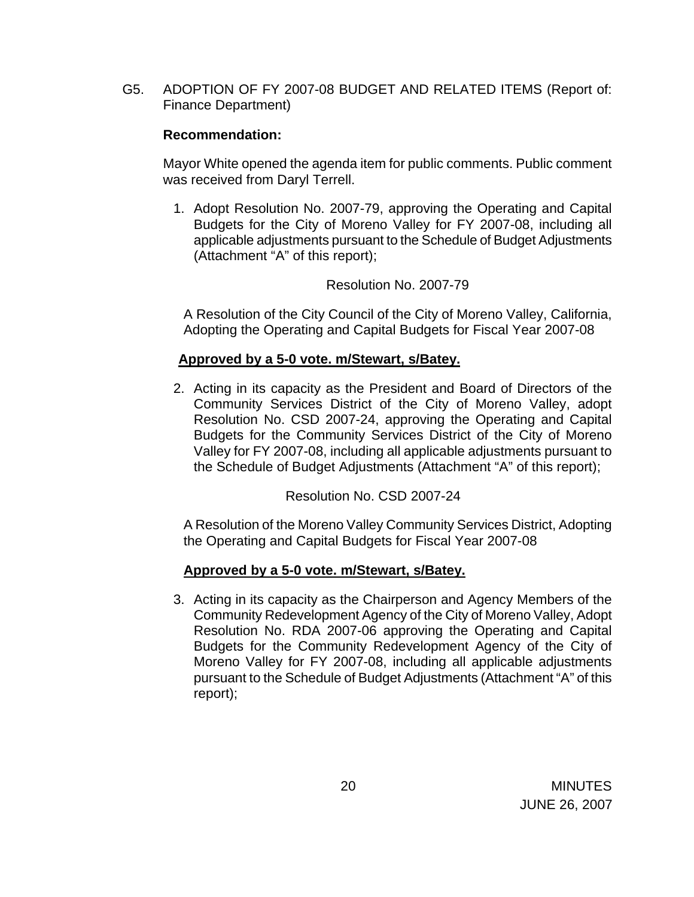G5. ADOPTION OF FY 2007-08 BUDGET AND RELATED ITEMS (Report of: Finance Department)

# **Recommendation:**

Mayor White opened the agenda item for public comments. Public comment was received from Daryl Terrell.

1. Adopt Resolution No. 2007-79, approving the Operating and Capital Budgets for the City of Moreno Valley for FY 2007-08, including all applicable adjustments pursuant to the Schedule of Budget Adjustments (Attachment "A" of this report);

# Resolution No. 2007-79

 A Resolution of the City Council of the City of Moreno Valley, California, Adopting the Operating and Capital Budgets for Fiscal Year 2007-08

# **Approved by a 5-0 vote. m/Stewart, s/Batey.**

2. Acting in its capacity as the President and Board of Directors of the Community Services District of the City of Moreno Valley, adopt Resolution No. CSD 2007-24, approving the Operating and Capital Budgets for the Community Services District of the City of Moreno Valley for FY 2007-08, including all applicable adjustments pursuant to the Schedule of Budget Adjustments (Attachment "A" of this report);

Resolution No. CSD 2007-24

 A Resolution of the Moreno Valley Community Services District, Adopting the Operating and Capital Budgets for Fiscal Year 2007-08

## **Approved by a 5-0 vote. m/Stewart, s/Batey.**

3. Acting in its capacity as the Chairperson and Agency Members of the Community Redevelopment Agency of the City of Moreno Valley, Adopt Resolution No. RDA 2007-06 approving the Operating and Capital Budgets for the Community Redevelopment Agency of the City of Moreno Valley for FY 2007-08, including all applicable adjustments pursuant to the Schedule of Budget Adjustments (Attachment "A" of this report);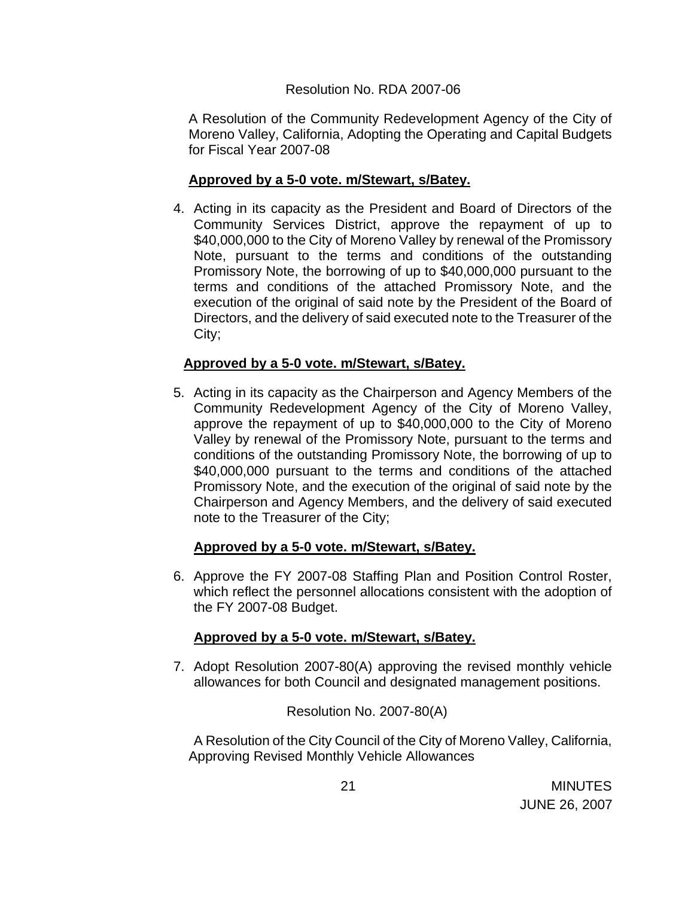## Resolution No. RDA 2007-06

 A Resolution of the Community Redevelopment Agency of the City of Moreno Valley, California, Adopting the Operating and Capital Budgets for Fiscal Year 2007-08

# **Approved by a 5-0 vote. m/Stewart, s/Batey.**

4. Acting in its capacity as the President and Board of Directors of the Community Services District, approve the repayment of up to \$40,000,000 to the City of Moreno Valley by renewal of the Promissory Note, pursuant to the terms and conditions of the outstanding Promissory Note, the borrowing of up to \$40,000,000 pursuant to the terms and conditions of the attached Promissory Note, and the execution of the original of said note by the President of the Board of Directors, and the delivery of said executed note to the Treasurer of the City;

# **Approved by a 5-0 vote. m/Stewart, s/Batey.**

5. Acting in its capacity as the Chairperson and Agency Members of the Community Redevelopment Agency of the City of Moreno Valley, approve the repayment of up to \$40,000,000 to the City of Moreno Valley by renewal of the Promissory Note, pursuant to the terms and conditions of the outstanding Promissory Note, the borrowing of up to \$40,000,000 pursuant to the terms and conditions of the attached Promissory Note, and the execution of the original of said note by the Chairperson and Agency Members, and the delivery of said executed note to the Treasurer of the City;

## **Approved by a 5-0 vote. m/Stewart, s/Batey.**

6. Approve the FY 2007-08 Staffing Plan and Position Control Roster, which reflect the personnel allocations consistent with the adoption of the FY 2007-08 Budget.

# **Approved by a 5-0 vote. m/Stewart, s/Batey.**

7. Adopt Resolution 2007-80(A) approving the revised monthly vehicle allowances for both Council and designated management positions.

Resolution No. 2007-80(A)

 A Resolution of the City Council of the City of Moreno Valley, California, Approving Revised Monthly Vehicle Allowances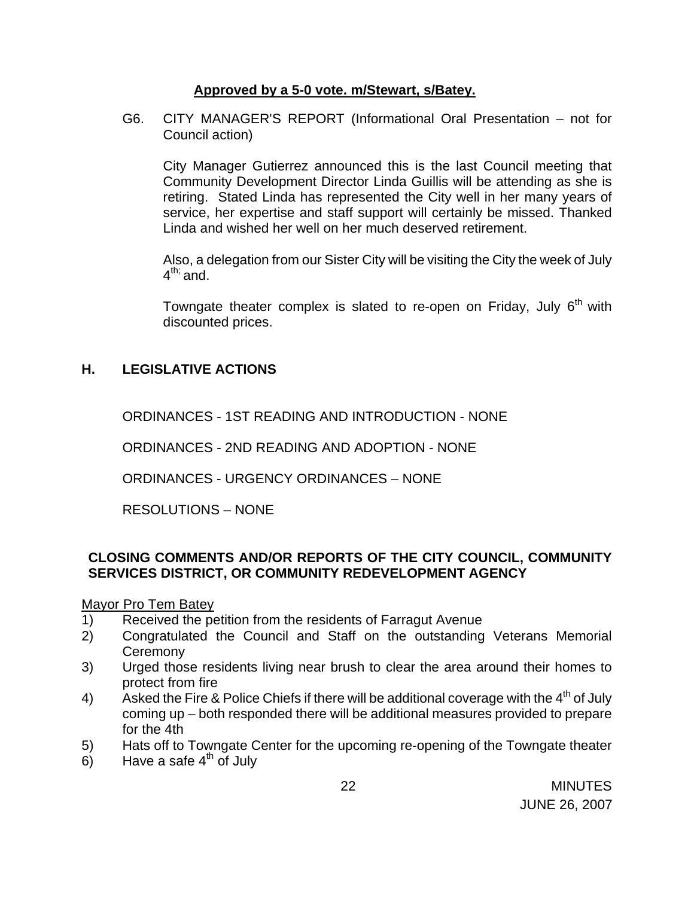# **Approved by a 5-0 vote. m/Stewart, s/Batey.**

G6. CITY MANAGER'S REPORT (Informational Oral Presentation – not for Council action)

 City Manager Gutierrez announced this is the last Council meeting that Community Development Director Linda Guillis will be attending as she is retiring. Stated Linda has represented the City well in her many years of service, her expertise and staff support will certainly be missed. Thanked Linda and wished her well on her much deserved retirement.

 Also, a delegation from our Sister City will be visiting the City the week of July  $4^{\text{th}}$ ; and.

Towngate theater complex is slated to re-open on Friday, July  $6<sup>th</sup>$  with discounted prices.

# **H. LEGISLATIVE ACTIONS**

ORDINANCES - 1ST READING AND INTRODUCTION - NONE

ORDINANCES - 2ND READING AND ADOPTION - NONE

ORDINANCES - URGENCY ORDINANCES – NONE

RESOLUTIONS – NONE

# **CLOSING COMMENTS AND/OR REPORTS OF THE CITY COUNCIL, COMMUNITY SERVICES DISTRICT, OR COMMUNITY REDEVELOPMENT AGENCY**

Mayor Pro Tem Batey

- 1) Received the petition from the residents of Farragut Avenue
- 2) Congratulated the Council and Staff on the outstanding Veterans Memorial **Ceremony**
- 3) Urged those residents living near brush to clear the area around their homes to protect from fire
- 4) Asked the Fire & Police Chiefs if there will be additional coverage with the  $4^{th}$  of July coming up – both responded there will be additional measures provided to prepare for the 4th
- 5) Hats off to Towngate Center for the upcoming re-opening of the Towngate theater
- 6) Have a safe  $4<sup>th</sup>$  of July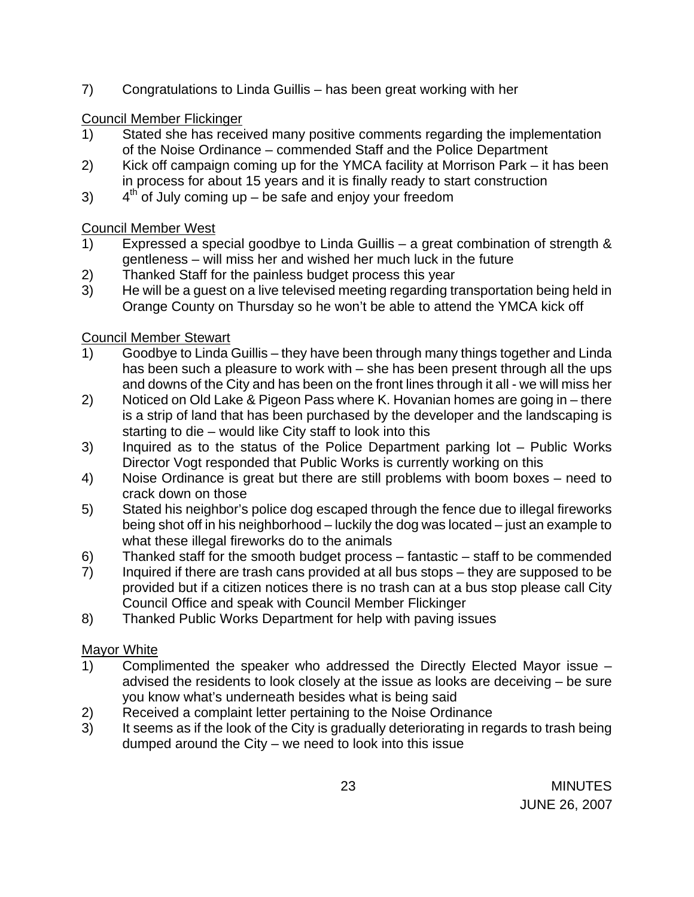7) Congratulations to Linda Guillis – has been great working with her

# Council Member Flickinger

- 1) Stated she has received many positive comments regarding the implementation of the Noise Ordinance – commended Staff and the Police Department
- 2) Kick off campaign coming up for the YMCA facility at Morrison Park it has been in process for about 15 years and it is finally ready to start construction
- 3)  $4<sup>th</sup>$  of July coming up be safe and enjoy your freedom

# Council Member West

- 1) Expressed a special goodbye to Linda Guillis a great combination of strength & gentleness – will miss her and wished her much luck in the future
- 2) Thanked Staff for the painless budget process this year
- 3) He will be a guest on a live televised meeting regarding transportation being held in Orange County on Thursday so he won't be able to attend the YMCA kick off

# Council Member Stewart

- 1) Goodbye to Linda Guillis they have been through many things together and Linda has been such a pleasure to work with – she has been present through all the ups and downs of the City and has been on the front lines through it all - we will miss her
- 2) Noticed on Old Lake & Pigeon Pass where K. Hovanian homes are going in there is a strip of land that has been purchased by the developer and the landscaping is starting to die – would like City staff to look into this
- 3) Inquired as to the status of the Police Department parking lot Public Works Director Vogt responded that Public Works is currently working on this
- 4) Noise Ordinance is great but there are still problems with boom boxes need to crack down on those
- 5) Stated his neighbor's police dog escaped through the fence due to illegal fireworks being shot off in his neighborhood – luckily the dog was located – just an example to what these illegal fireworks do to the animals
- 6) Thanked staff for the smooth budget process fantastic staff to be commended
- 7) Inquired if there are trash cans provided at all bus stops they are supposed to be provided but if a citizen notices there is no trash can at a bus stop please call City Council Office and speak with Council Member Flickinger
- 8) Thanked Public Works Department for help with paving issues

# Mayor White

- 1) Complimented the speaker who addressed the Directly Elected Mayor issue advised the residents to look closely at the issue as looks are deceiving – be sure you know what's underneath besides what is being said
- 2) Received a complaint letter pertaining to the Noise Ordinance
- 3) It seems as if the look of the City is gradually deteriorating in regards to trash being dumped around the City – we need to look into this issue